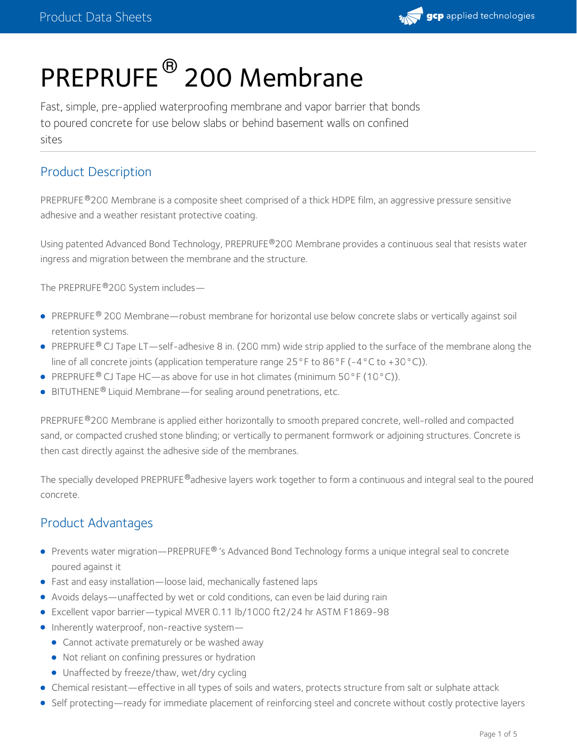

# PREPRUFE<sup>®</sup> 200 Membrane

Fast, simple, pre-applied waterproofing membrane and vapor barrier that bonds to poured concrete for use below slabs or behind basement walls on confined sites

# Product Description

PREPRUFE®200 Membrane is a composite sheet comprised of a thick HDPE film, an aggressive pressure sensitive adhesive and a weather resistant protective coating.

Using patented Advanced Bond Technology, PREPRUFE®200 Membrane provides a continuous seal that resists water ingress and migration between the membrane and the structure.

The PREPRUFE®200 System includes—

- PREPRUFE® 200 Membrane—robust membrane for horizontal use below concrete slabs or vertically against soil retention systems.
- PREPRUFE® CJ Tape LT—self-adhesive 8 in. (200 mm) wide strip applied to the surface of the membrane along the line of all concrete joints (application temperature range  $25^{\circ}$  F to  $86^{\circ}$  F (-4°C to +30°C)).
- PREPRUFE<sup>®</sup> CJ Tape HC—as above for use in hot climates (minimum 50°F (10°C)).
- $\bullet$  BITUTHENE<sup>®</sup> Liquid Membrane—for sealing around penetrations, etc.

PREPRUFE®200 Membrane is applied either horizontally to smooth prepared concrete, well-rolled and compacted sand, or compacted crushed stone blinding; or vertically to permanent formwork or adjoining structures. Concrete is then cast directly against the adhesive side of the membranes.

The specially developed PREPRUFE®adhesive layers work together to form a continuous and integral seal to the poured concrete.

# Product Advantages

- Prevents water migration—PREPRUFE® 's Advanced Bond Technology forms a unique integral seal to concrete poured against it
- Fast and easy installation—loose laid, mechanically fastened laps
- Avoids delays—unaffected by wet or cold conditions, can even be laid during rain
- Excellent vapor barrier—typical MVER 0.11 lb/1000 ft2/24 hr ASTM F1869-98
- Inherently waterproof, non-reactive system-
	- **Cannot activate prematurely or be washed away**
	- Not reliant on confining pressures or hydration
	- Unaffected by freeze/thaw, wet/dry cycling
- Chemical resistant—effective in all types of soils and waters, protects structure from salt or sulphate attack
- Self protecting—ready for immediate placement of reinforcing steel and concrete without costly protective layers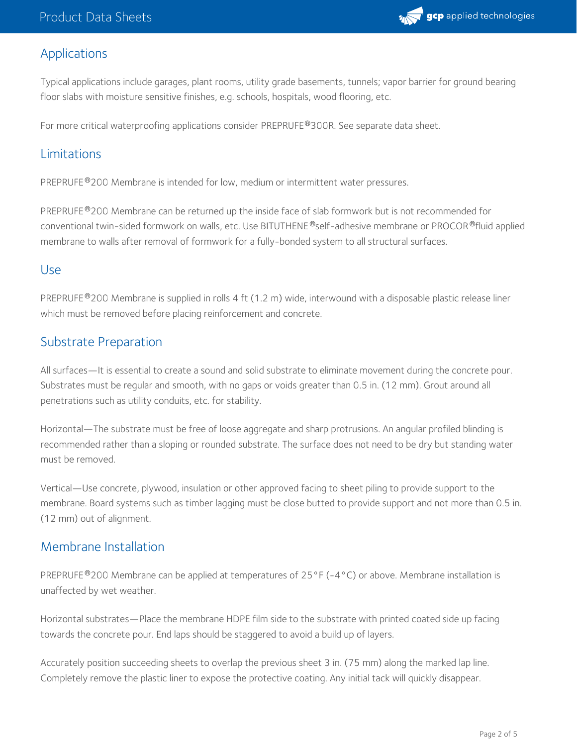

# Applications

Typical applications include garages, plant rooms, utility grade basements, tunnels; vapor barrier for ground bearing floor slabs with moisture sensitive finishes, e.g. schools, hospitals, wood flooring, etc.

For more critical waterproofing applications consider PREPRUFE®300R. See separate data sheet.

# Limitations

PREPRUFE®200 Membrane is intended for low, medium or intermittent water pressures.

PREPRUFE®200 Membrane can be returned up the inside face of slab formwork but is not recommended for conventional twin-sided formwork on walls, etc. Use BITUTHENE®self-adhesive membrane or PROCOR®fluid applied membrane to walls after removal of formwork for a fully-bonded system to all structural surfaces.

#### Use

PREPRUFE®200 Membrane is supplied in rolls 4 ft (1.2 m) wide, interwound with a disposable plastic release liner which must be removed before placing reinforcement and concrete.

# Substrate Preparation

All surfaces—It is essential to create a sound and solid substrate to eliminate movement during the concrete pour. Substrates must be regular and smooth, with no gaps or voids greater than 0.5 in. (12 mm). Grout around all penetrations such as utility conduits, etc. for stability.

Horizontal—The substrate must be free of loose aggregate and sharp protrusions. An angular profiled blinding is recommended rather than a sloping or rounded substrate. The surface does not need to be dry but standing water must be removed.

Vertical—Use concrete, plywood, insulation or other approved facing to sheet piling to provide support to the membrane. Board systems such as timber lagging must be close butted to provide support and not more than 0.5 in. (12 mm) out of alignment.

#### Membrane Installation

PREPRUFE®200 Membrane can be applied at temperatures of 25°F (-4°C) or above. Membrane installation is unaffected by wet weather.

Horizontal substrates—Place the membrane HDPE film side to the substrate with printed coated side up facing towards the concrete pour. End laps should be staggered to avoid a build up of layers.

Accurately position succeeding sheets to overlap the previous sheet 3 in. (75 mm) along the marked lap line. Completely remove the plastic liner to expose the protective coating. Any initial tack will quickly disappear.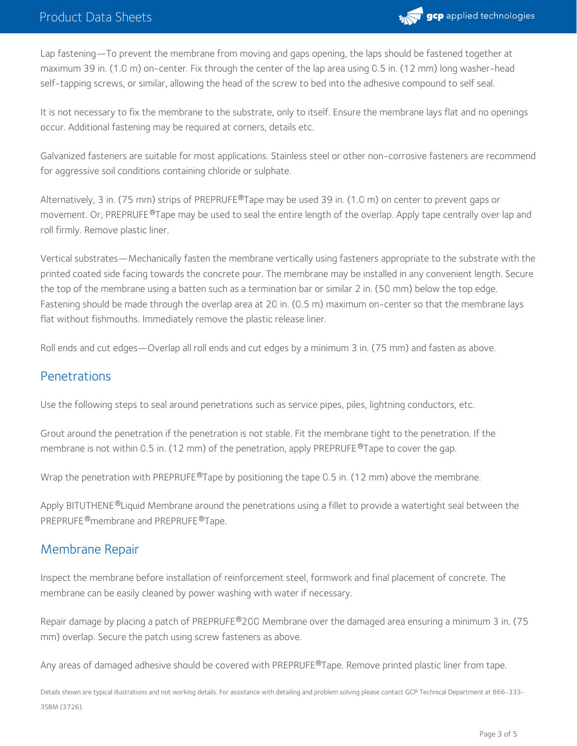

Lap fastening—To prevent the membrane from moving and gaps opening, the laps should be fastened together at maximum 39 in. (1.0 m) on-center. Fix through the center of the lap area using 0.5 in. (12 mm) long washer-head self-tapping screws, or similar, allowing the head of the screw to bed into the adhesive compound to self seal.

It is not necessary to fix the membrane to the substrate, only to itself. Ensure the membrane lays flat and no openings occur. Additional fastening may be required at corners, details etc.

Galvanized fasteners are suitable for most applications. Stainless steel or other non-corrosive fasteners are recommend for aggressive soil conditions containing chloride or sulphate.

Alternatively, 3 in. (75 mm) strips of PREPRUFE®Tape may be used 39 in. (1.0 m) on center to prevent gaps or movement. Or, PREPRUFE®Tape may be used to seal the entire length of the overlap. Apply tape centrally over lap and roll firmly. Remove plastic liner.

Vertical substrates—Mechanically fasten the membrane vertically using fasteners appropriate to the substrate with the printed coated side facing towards the concrete pour. The membrane may be installed in any convenient length. Secure the top of the membrane using a batten such as a termination bar or similar 2 in. (50 mm) below the top edge. Fastening should be made through the overlap area at 20 in. (0.5 m) maximum on-center so that the membrane lays flat without fishmouths. Immediately remove the plastic release liner.

Roll ends and cut edges—Overlap all roll ends and cut edges by a minimum 3 in. (75 mm) and fasten as above.

#### Penetrations

Use the following steps to seal around penetrations such as service pipes, piles, lightning conductors, etc.

Grout around the penetration if the penetration is not stable. Fit the membrane tight to the penetration. If the membrane is not within 0.5 in. (12 mm) of the penetration, apply PREPRUFE  $^{\circledR}$ Tape to cover the gap.

Wrap the penetration with PREPRUFE®Tape by positioning the tape 0.5 in. (12 mm) above the membrane.

Apply BITUTHENE®Liquid Membrane around the penetrations using a fillet to provide a watertight seal between the PREPRUFE ®membrane and PREPRUFE ®Tape.

#### Membrane Repair

Inspect the membrane before installation of reinforcement steel, formwork and final placement of concrete. The membrane can be easily cleaned by power washing with water if necessary.

Repair damage by placing a patch of PREPRUFE®200 Membrane over the damaged area ensuring a minimum 3 in. (75  $\,$ mm) overlap. Secure the patch using screw fasteners as above.

Any areas of damaged adhesive should be covered with PREPRUFE®Tape. Remove printed plastic liner from tape.

Details shown are typical illustrations and not working details. For assistance with detailing and problem solving please contact GCP Technical Department at 866-333- 3SBM (3726).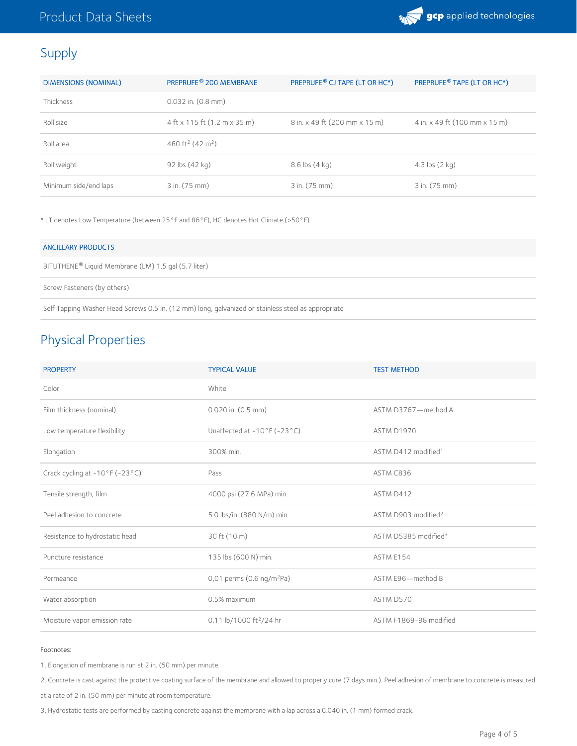

# Supply

| <b>DIMENSIONS (NOMINAL)</b> | PREPRUFE <sup>®</sup> 200 MEMBRANE       | PREPRUFE <sup>®</sup> CJ TAPE (LT OR HC*) | PREPRUFE <sup>®</sup> TAPE (LT OR HC*) |
|-----------------------------|------------------------------------------|-------------------------------------------|----------------------------------------|
| <b>Thickness</b>            | $0.032$ in. $(0.8$ mm)                   |                                           |                                        |
| Roll size                   | 4 ft x 115 ft (1.2 m x 35 m)             | 8 in. x 49 ft (200 mm x 15 m)             | 4 in. x 49 ft (100 mm x 15 m)          |
| Roll area                   | 460 ft <sup>2</sup> (42 m <sup>2</sup> ) |                                           |                                        |
| Roll weight                 | 92 lbs $(42 \text{ kg})$                 | $8.6$ lbs $(4$ kg)                        | 4.3 $\mathsf{lbs}(2 \mathsf{kq})$      |
| Minimum side/end laps       | 3 in. (75 mm)                            | 3 in. (75 mm)                             | 3 in. (75 mm)                          |

\* LT denotes Low Temperature (between 25°F and 86°F), HC denotes Hot Climate (>50°F)

| <b>ANCILLARY PRODUCTS</b>                                       |
|-----------------------------------------------------------------|
| BITUTHENE <sup>®</sup> Liquid Membrane (LM) 1.5 gal (5.7 liter) |
| Screw Fasteners (by others)                                     |

Self Tapping Washer Head Screws 0.5 in. (12 mm) long, galvanized or stainless steel as appropriate

# Physical Properties

| <b>PROPERTY</b>                                     | <b>TYPICAL VALUE</b>                             | <b>TEST METHOD</b>               |
|-----------------------------------------------------|--------------------------------------------------|----------------------------------|
| Color                                               | White                                            |                                  |
| Film thickness (nominal)                            | $0.020$ in. $(0.5$ mm)                           | ASTM D3767-method A              |
| Low temperature flexibility                         | Unaffected at $-10^{\circ}$ F ( $-23^{\circ}$ C) | ASTM D1970                       |
| Elongation                                          | 300% min.                                        | ASTM D412 modified <sup>1</sup>  |
| Crack cycling at $-10^{\circ}$ F ( $-23^{\circ}$ C) | Pass                                             | ASTM C836                        |
| Tensile strength, film                              | 4000 psi (27.6 MPa) min.                         | ASTM D412                        |
| Peel adhesion to concrete                           | 5.0 lbs/in. (880 N/m) min.                       | ASTM D903 modified <sup>2</sup>  |
| Resistance to hydrostatic head                      | 30 ft (10 m)                                     | ASTM D5385 modified <sup>3</sup> |
| Puncture resistance                                 | 135 lbs (600 N) min.                             | ASTM E154                        |
| Permeance                                           | 0,01 perms (0.6 ng/m <sup>2</sup> Pa)            | ASTM E96-method B                |
| Water absorption                                    | 0.5% maximum                                     | ASTM D570                        |
| Moisture vapor emission rate                        | 0.11 lb/1000 ft <sup>2</sup> /24 hr              | ASTM F1869-98 modified           |

#### Footnotes:

1. Elongation of membrane is run at 2 in. (50 mm) per minute.

2. Concrete is cast against the protective coating surface of the membrane and allowed to properly cure (7 days min.). Peel adhesion of membrane to concrete is measured

at a rate of 2 in. (50 mm) per minute at room temperature.

3. Hydrostatic tests are performed by casting concrete against the membrane with a lap across a 0.040 in. (1 mm) formed crack.